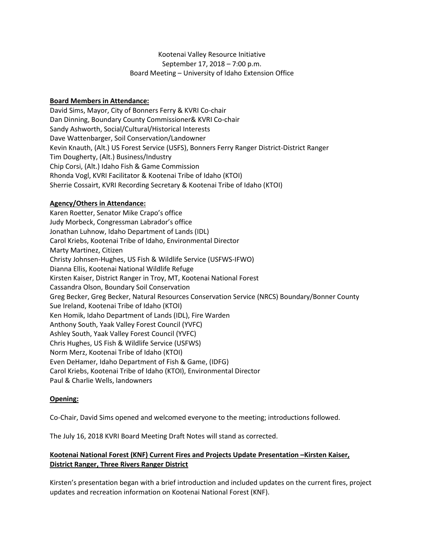# Kootenai Valley Resource Initiative September 17, 2018 – 7:00 p.m. Board Meeting – University of Idaho Extension Office

# **Board Members in Attendance:**

David Sims, Mayor, City of Bonners Ferry & KVRI Co-chair Dan Dinning, Boundary County Commissioner& KVRI Co-chair Sandy Ashworth, Social/Cultural/Historical Interests Dave Wattenbarger, Soil Conservation/Landowner Kevin Knauth, (Alt.) US Forest Service (USFS), Bonners Ferry Ranger District-District Ranger Tim Dougherty, (Alt.) Business/Industry Chip Corsi, (Alt.) Idaho Fish & Game Commission Rhonda Vogl, KVRI Facilitator & Kootenai Tribe of Idaho (KTOI) Sherrie Cossairt, KVRI Recording Secretary & Kootenai Tribe of Idaho (KTOI)

# **Agency/Others in Attendance:**

Karen Roetter, Senator Mike Crapo's office Judy Morbeck, Congressman Labrador's office Jonathan Luhnow, Idaho Department of Lands (IDL) Carol Kriebs, Kootenai Tribe of Idaho, Environmental Director Marty Martinez, Citizen Christy Johnsen-Hughes, US Fish & Wildlife Service (USFWS-IFWO) Dianna Ellis, Kootenai National Wildlife Refuge Kirsten Kaiser, District Ranger in Troy, MT, Kootenai National Forest Cassandra Olson, Boundary Soil Conservation Greg Becker, Greg Becker, Natural Resources Conservation Service (NRCS) Boundary/Bonner County Sue Ireland, Kootenai Tribe of Idaho (KTOI) Ken Homik, Idaho Department of Lands (IDL), Fire Warden Anthony South, Yaak Valley Forest Council (YVFC) Ashley South, Yaak Valley Forest Council (YVFC) Chris Hughes, US Fish & Wildlife Service (USFWS) Norm Merz, Kootenai Tribe of Idaho (KTOI) Even DeHamer, Idaho Department of Fish & Game, (IDFG) Carol Kriebs, Kootenai Tribe of Idaho (KTOI), Environmental Director Paul & Charlie Wells, landowners

# **Opening:**

Co-Chair, David Sims opened and welcomed everyone to the meeting; introductions followed.

The July 16, 2018 KVRI Board Meeting Draft Notes will stand as corrected.

# **Kootenai National Forest (KNF) Current Fires and Projects Update Presentation –Kirsten Kaiser, District Ranger, Three Rivers Ranger District**

Kirsten's presentation began with a brief introduction and included updates on the current fires, project updates and recreation information on Kootenai National Forest (KNF).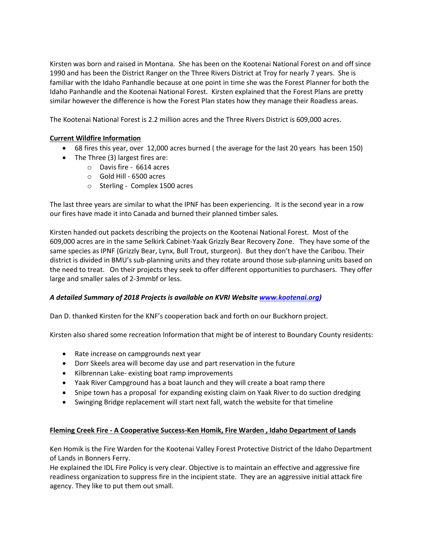Kirsten was born and raised in Montana. She has been on the Kootenai National Forest on and off since 1990 and has been the District Ranger on the Three Rivers District at Troy for nearly 7 years. She is familiar with the Idaho Panhandle because at one point in time she was the Forest Planner for both the Idaho Panhandle and the Kootenai National Forest. Kirsten explained that the Forest Plans are pretty similar however the difference is how the Forest Plan states how they manage their Roadless areas.

The Kootenai National Forest is 2.2 million acres and the Three Rivers District is 609,000 acres.

# **Current Wildfire Information**

- 68 fires this year, over 12,000 acres burned ( the average for the last 20 years has been 150)
- The Three (3) largest fires are:
	- o Davis fire 6614 acres
	- o Gold Hill 6500 acres
	- o Sterling Complex 1500 acres

The last three years are similar to what the IPNF has been experiencing. It is the second year in a row our fires have made it into Canada and burned their planned timber sales.

Kirsten handed out packets describing the projects on the Kootenai National Forest. Most of the 609,000 acres are in the same Selkirk Cabinet-Yaak Grizzly Bear Recovery Zone. They have some of the same species as IPNF (Grizzly Bear, Lynx, Bull Trout, sturgeon). But they don't have the Caribou. Their district is divided in BMU's sub-planning units and they rotate around those sub-planning units based on the need to treat. On their projects they seek to offer different opportunities to purchasers. They offer large and smaller sales of 2-3mmbf or less.

## *A detailed Summary of 2018 Projects is available on KVRI Websit[e www.kootenai.org\)](http://www.kootenai.org/)*

Dan D. thanked Kirsten for the KNF's cooperation back and forth on our Buckhorn project.

Kirsten also shared some recreation Information that might be of interest to Boundary County residents:

- Rate increase on campgrounds next year
- Dorr Skeels area will become day use and part reservation in the future
- Kilbrennan Lake- existing boat ramp improvements
- Yaak River Campground has a boat launch and they will create a boat ramp there
- Snipe town has a proposal for expanding existing claim on Yaak River to do suction dredging
- Swinging Bridge replacement will start next fall, watch the website for that timeline

## **Fleming Creek Fire - A Cooperative Success-Ken Homik, Fire Warden , Idaho Department of Lands**

Ken Homik is the Fire Warden for the Kootenai Valley Forest Protective District of the Idaho Department of Lands in Bonners Ferry.

He explained the IDL Fire Policy is very clear. Objective is to maintain an effective and aggressive fire readiness organization to suppress fire in the incipient state. They are an aggressive initial attack fire agency. They like to put them out small.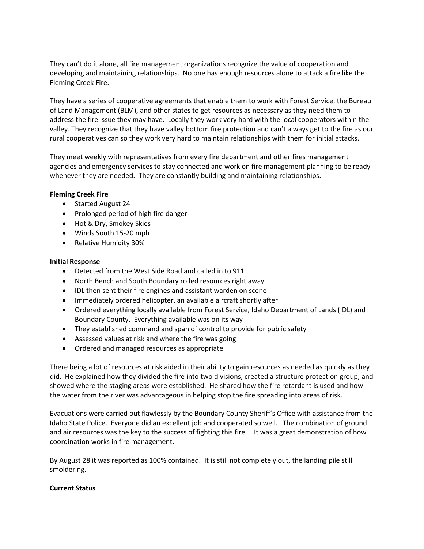They can't do it alone, all fire management organizations recognize the value of cooperation and developing and maintaining relationships. No one has enough resources alone to attack a fire like the Fleming Creek Fire.

They have a series of cooperative agreements that enable them to work with Forest Service, the Bureau of Land Management (BLM), and other states to get resources as necessary as they need them to address the fire issue they may have. Locally they work very hard with the local cooperators within the valley. They recognize that they have valley bottom fire protection and can't always get to the fire as our rural cooperatives can so they work very hard to maintain relationships with them for initial attacks.

They meet weekly with representatives from every fire department and other fires management agencies and emergency services to stay connected and work on fire management planning to be ready whenever they are needed. They are constantly building and maintaining relationships.

## **Fleming Creek Fire**

- Started August 24
- Prolonged period of high fire danger
- Hot & Dry, Smokey Skies
- Winds South 15-20 mph
- Relative Humidity 30%

## **Initial Response**

- Detected from the West Side Road and called in to 911
- North Bench and South Boundary rolled resources right away
- IDL then sent their fire engines and assistant warden on scene
- Immediately ordered helicopter, an available aircraft shortly after
- Ordered everything locally available from Forest Service, Idaho Department of Lands (IDL) and Boundary County. Everything available was on its way
- They established command and span of control to provide for public safety
- Assessed values at risk and where the fire was going
- Ordered and managed resources as appropriate

There being a lot of resources at risk aided in their ability to gain resources as needed as quickly as they did. He explained how they divided the fire into two divisions, created a structure protection group, and showed where the staging areas were established. He shared how the fire retardant is used and how the water from the river was advantageous in helping stop the fire spreading into areas of risk.

Evacuations were carried out flawlessly by the Boundary County Sheriff's Office with assistance from the Idaho State Police. Everyone did an excellent job and cooperated so well. The combination of ground and air resources was the key to the success of fighting this fire. It was a great demonstration of how coordination works in fire management.

By August 28 it was reported as 100% contained. It is still not completely out, the landing pile still smoldering.

## **Current Status**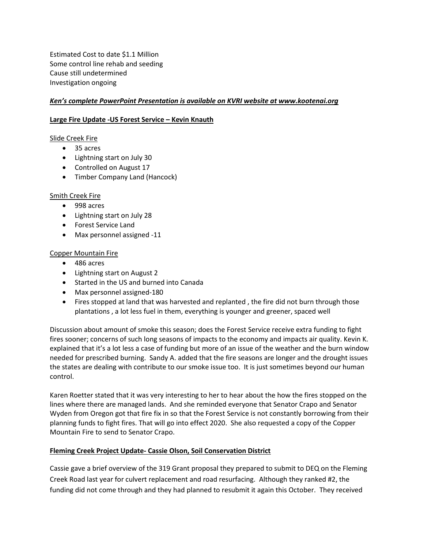Estimated Cost to date \$1.1 Million Some control line rehab and seeding Cause still undetermined Investigation ongoing

## *Ken's complete PowerPoint Presentation is available on KVRI website at www.kootenai.org*

#### **Large Fire Update -US Forest Service – Kevin Knauth**

# Slide Creek Fire

- 35 acres
- Lightning start on July 30
- Controlled on August 17
- Timber Company Land (Hancock)

#### Smith Creek Fire

- 998 acres
- Lightning start on July 28
- Forest Service Land
- Max personnel assigned -11

#### Copper Mountain Fire

- 486 acres
- Lightning start on August 2
- Started in the US and burned into Canada
- Max personnel assigned-180
- Fires stopped at land that was harvested and replanted, the fire did not burn through those plantations , a lot less fuel in them, everything is younger and greener, spaced well

Discussion about amount of smoke this season; does the Forest Service receive extra funding to fight fires sooner; concerns of such long seasons of impacts to the economy and impacts air quality. Kevin K. explained that it's a lot less a case of funding but more of an issue of the weather and the burn window needed for prescribed burning. Sandy A. added that the fire seasons are longer and the drought issues the states are dealing with contribute to our smoke issue too. It is just sometimes beyond our human control.

Karen Roetter stated that it was very interesting to her to hear about the how the fires stopped on the lines where there are managed lands. And she reminded everyone that Senator Crapo and Senator Wyden from Oregon got that fire fix in so that the Forest Service is not constantly borrowing from their planning funds to fight fires. That will go into effect 2020. She also requested a copy of the Copper Mountain Fire to send to Senator Crapo.

#### **Fleming Creek Project Update- Cassie Olson, Soil Conservation District**

Cassie gave a brief overview of the 319 Grant proposal they prepared to submit to DEQ on the Fleming Creek Road last year for culvert replacement and road resurfacing. Although they ranked #2, the funding did not come through and they had planned to resubmit it again this October. They received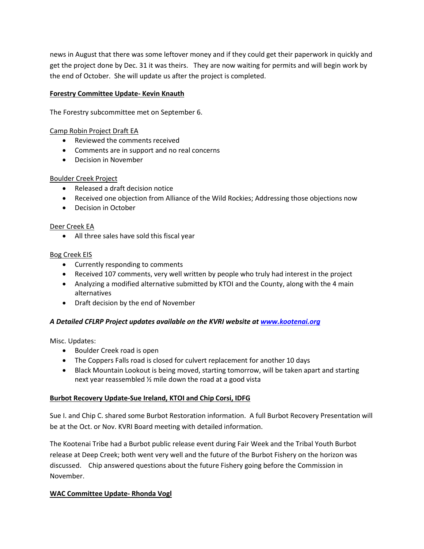news in August that there was some leftover money and if they could get their paperwork in quickly and get the project done by Dec. 31 it was theirs. They are now waiting for permits and will begin work by the end of October. She will update us after the project is completed.

# **Forestry Committee Update- Kevin Knauth**

The Forestry subcommittee met on September 6.

## Camp Robin Project Draft EA

- Reviewed the comments received
- Comments are in support and no real concerns
- Decision in November

## Boulder Creek Project

- Released a draft decision notice
- Received one objection from Alliance of the Wild Rockies; Addressing those objections now
- Decision in October

## Deer Creek EA

All three sales have sold this fiscal year

## Bog Creek EIS

- Currently responding to comments
- Received 107 comments, very well written by people who truly had interest in the project
- Analyzing a modified alternative submitted by KTOI and the County, along with the 4 main alternatives
- Draft decision by the end of November

## *A Detailed CFLRP Project updates available on the KVRI website at [www.kootenai.org](http://www.kootenai.org/)*

Misc. Updates:

- **•** Boulder Creek road is open
- The Coppers Falls road is closed for culvert replacement for another 10 days
- Black Mountain Lookout is being moved, starting tomorrow, will be taken apart and starting next year reassembled ½ mile down the road at a good vista

## **Burbot Recovery Update-Sue Ireland, KTOI and Chip Corsi, IDFG**

Sue I. and Chip C. shared some Burbot Restoration information. A full Burbot Recovery Presentation will be at the Oct. or Nov. KVRI Board meeting with detailed information.

The Kootenai Tribe had a Burbot public release event during Fair Week and the Tribal Youth Burbot release at Deep Creek; both went very well and the future of the Burbot Fishery on the horizon was discussed. Chip answered questions about the future Fishery going before the Commission in November.

## **WAC Committee Update- Rhonda Vogl**